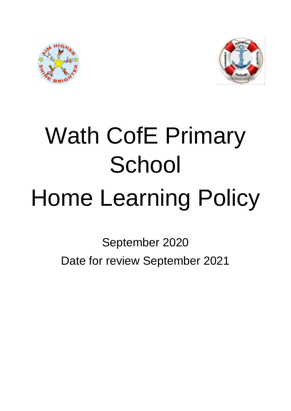



# Wath CofE Primary **School** Home Learning Policy

September 2020 Date for review September 2021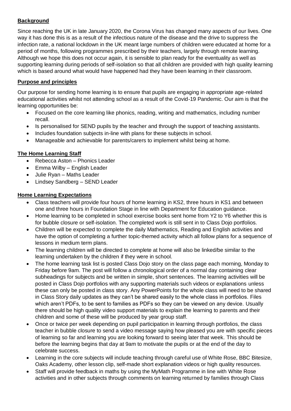# **Background**

Since reaching the UK in late January 2020, the Corona Virus has changed many aspects of our lives. One way it has done this is as a result of the infectious nature of the disease and the drive to suppress the infection rate, a national lockdown in the UK meant large numbers of children were educated at home for a period of months, following programmes prescribed by their teachers, largely through remote learning. Although we hope this does not occur again, it is sensible to plan ready for the eventuality as well as supporting learning during periods of self-isolation so that all children are provided with high quality learning which is based around what would have happened had they have been learning in their classroom.

### **Purpose and principles**

Our purpose for sending home learning is to ensure that pupils are engaging in appropriate age-related educational activities whilst not attending school as a result of the Covid-19 Pandemic. Our aim is that the learning opportunities be:

- Focused on the core learning like phonics, reading, writing and mathematics, including number recall.
- Is personalised for SEND pupils by the teacher and through the support of teaching assistants.
- Includes foundation subjects in-line with plans for these subjects in school.
- Manageable and achievable for parents/carers to implement whilst being at home.

## **The Home Learning Staff**

- Rebecca Aston Phonics Leader
- Emma Wilby English Leader
- Julie Ryan Maths Leader
- Lindsey Sandberg SEND Leader

## **Home Learning Expectations**

- Class teachers will provide four hours of home learning in KS2, three hours in KS1 and between one and three hours in Foundation Stage in line with Department for Education guidance.
- Home learning to be completed in school exercise books sent home from Y2 to Y6 whether this is for bubble closure or self-isolation. The completed work is still sent in to Class Dojo portfolios.
- Children will be expected to complete the daily Mathematics, Reading and English activities and have the option of completing a further topic-themed activity which all follow plans for a sequence of lessons in medium term plans.
- The learning children will be directed to complete at home will also be linked/be similar to the learning undertaken by the children if they were in school.
- The home learning task list is posted Class Dojo story on the class page each morning, Monday to Friday before 9am. The post will follow a chronological order of a normal day containing clear subheadings for subjects and be written in simple, short sentences. The learning activities will be posted in Class Dojo portfolios with any supporting materials such videos or explanations unless these can only be posted in class story. Any PowerPoints for the whole class will need to be shared in Class Story daily updates as they can't be shared easily to the whole class in portfolios. Files which aren't PDFs, to be sent to families as PDFs so they can be viewed on any device. Usually there should be high quality video support materials to explain the learning to parents and their children and some of these will be produced by year group staff.
- Once or twice per week depending on pupil participation in learning through portfolios, the class teacher in bubble closure to send a video message saying how pleased you are with specific pieces of learning so far and learning you are looking forward to seeing later that week. This should be before the learning begins that day at 9am to motivate the pupils or at the end of the day to celebrate success.
- Learning in the core subjects will include teaching through careful use of White Rose, BBC Bitesize, Oaks Academy, other lesson clip, self-made short explanation videos or high quality resources.
- Staff will provide feedback in maths by using the MyMath Programme in line with White Rose activities and in other subjects through comments on learning returned by families through Class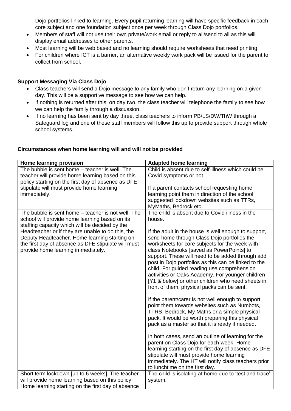Dojo portfolios linked to learning. Every pupil returning learning will have specific feedback in each core subject and one foundation subject once per week through Class Dojo portfolios.

- Members of staff will not use their own private/work email or reply to all/send to all as this will display email addresses to other parents.
- Most learning will be web based and no learning should require worksheets that need printing.
- For children where ICT is a barrier, an alternative weekly work pack will be issued for the parent to collect from school.

### **Support Messaging Via Class Dojo**

- Class teachers will send a Dojo message to any family who don't return any learning on a given day. This will be a supportive message to see how we can help.
- If nothing is returned after this, on day two, the class teacher will telephone the family to see how we can help the family through a discussion.
- If no learning has been sent by day three, class teachers to inform PB/LS/DW/ThW through a Safeguard log and one of these staff members will follow this up to provide support through whole school systems.

### **Home learning provision Adapted home learning** The bubble is sent home – teacher is well. The teacher will provide home learning based on this policy starting on the first day of absence as DFE stipulate will must provide home learning immediately. Child is absent due to self-illness which could be Covid symptoms or not. If a parent contacts school requesting home learning point them in direction of the school suggested lockdown websites such as TTRs, MyMaths, Bedrock etc. The bubble is sent home – teacher is not well. The school will provide home learning based on its staffing capacity which will be decided by the Headteacher or if they are unable to do this, the Deputy Headteacher. Home learning starting on the first day of absence as DFE stipulate will must provide home learning immediately. The child is absent due to Covid illness in the house. If the adult in the house is well enough to support, send home through Class Dojo portfolios the worksheets for core subjects for the week with class Notebooks [saved as PowerPoints] to support. These will need to be added through add post in Dojo portfolios as this can be linked to the child. For guided reading use comprehension activities or Oaks Academy. For younger children [Y1 & below] or other children who need sheets in front of them, physical packs can be sent. If the parent/carer is not well enough to support, point them towards websites such as Numbots, TTRS, Bedrock, My Maths or a simple physical pack. It would be worth preparing this physical pack as a master so that it is ready if needed. In both cases, send an outline of learning for the parent on Class Dojo for each week. Home learning starting on the first day of absence as DFE stipulate will must provide home learning immediately. The HT will notify class teachers prior to lunchtime on the first day. Short term lockdown [up to 6 weeks]. The teacher will provide home learning based on this policy. Home learning starting on the first day of absence The child is isolating at home due to 'test and trace' system.

### **Circumstances when home learning will and will not be provided**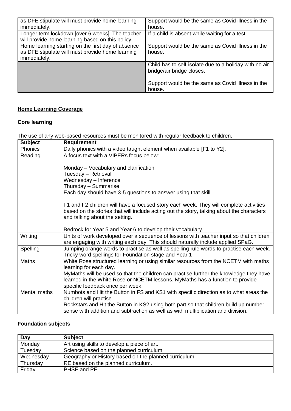| as DFE stipulate will must provide home learning   | Support would be the same as Covid illness in the      |
|----------------------------------------------------|--------------------------------------------------------|
| immediately.                                       | house.                                                 |
| Longer term lockdown [over 6 weeks]. The teacher   | If a child is absent while waiting for a test.         |
| will provide home learning based on this policy.   |                                                        |
| Home learning starting on the first day of absence | Support would be the same as Covid illness in the      |
| as DFE stipulate will must provide home learning   | house.                                                 |
| immediately.                                       |                                                        |
|                                                    | Child has to self-isolate due to a holiday with no air |
|                                                    | bridge/air bridge closes.                              |
|                                                    |                                                        |
|                                                    | Support would be the same as Covid illness in the      |
|                                                    | house.                                                 |

# **Home Learning Coverage**

# **Core learning**

The use of any web-based resources must be monitored with regular feedback to children.

| <b>Subject</b> | <b>Requirement</b>                                                                                                                                                                 |
|----------------|------------------------------------------------------------------------------------------------------------------------------------------------------------------------------------|
| Phonics        | Daily phonics with a video taught element when available [F1 to Y2].                                                                                                               |
| Reading        | A focus text with a VIPERs focus below:                                                                                                                                            |
|                | Monday – Vocabulary and clarification                                                                                                                                              |
|                | Tuesday - Retrieval                                                                                                                                                                |
|                | Wednesday - Inference                                                                                                                                                              |
|                | Thursday - Summarise                                                                                                                                                               |
|                | Each day should have 3-5 questions to answer using that skill.                                                                                                                     |
|                | F1 and F2 children will have a focused story each week. They will complete activities<br>based on the stories that will include acting out the story, talking about the characters |
|                | and talking about the setting.                                                                                                                                                     |
|                | Bedrock for Year 5 and Year 6 to develop their vocabulary.                                                                                                                         |
| Writing        | Units of work developed over a sequence of lessons with teacher input so that children<br>are engaging with writing each day. This should naturally include applied SPaG.          |
| Spelling       | Jumping orange words to practise as well as spelling rule words to practise each week.<br>Tricky word spellings for Foundation stage and Year 1                                    |
| <b>Maths</b>   | White Rose structured learning or using similar resources from the NCETM with maths<br>learning for each day.                                                                      |
|                | MyMaths will be used so that the children can practise further the knowledge they have                                                                                             |
|                | learned in the White Rose or NCETM lessons. MyMaths has a function to provide                                                                                                      |
|                | specific feedback once per week.                                                                                                                                                   |
| Mental maths   | Numbots and Hit the Button in FS and KS1 with specific direction as to what areas the                                                                                              |
|                | children will practise.<br>Rockstars and Hit the Button in KS2 using both part so that children build up number                                                                    |
|                | sense with addition and subtraction as well as with multiplication and division.                                                                                                   |
|                |                                                                                                                                                                                    |

# **Foundation subjects**

| Day       | <b>Subject</b>                                       |
|-----------|------------------------------------------------------|
| Monday    | Art using skills to develop a piece of art.          |
| Tuesday   | Science based on the planned curriculum              |
| Wednesday | Geography or History based on the planned curriculum |
| Thursday  | RE based on the planned curriculum.                  |
| Friday    | PHSE and PE                                          |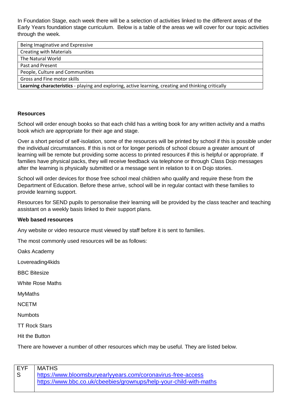In Foundation Stage, each week there will be a selection of activities linked to the different areas of the Early Years foundation stage curriculum. Below is a table of the areas we will cover for our topic activities through the week.

| Being Imaginative and Expressive                                                                    |  |
|-----------------------------------------------------------------------------------------------------|--|
| <b>Creating with Materials</b>                                                                      |  |
| The Natural World                                                                                   |  |
| Past and Present                                                                                    |  |
| People, Culture and Communities                                                                     |  |
| Gross and Fine motor skills                                                                         |  |
| Learning characteristics - playing and exploring, active learning, creating and thinking critically |  |

### **Resources**

School will order enough books so that each child has a writing book for any written activity and a maths book which are appropriate for their age and stage.

Over a short period of self-isolation, some of the resources will be printed by school if this is possible under the individual circumstances. If this is not or for longer periods of school closure a greater amount of learning will be remote but providing some access to printed resources if this is helpful or appropriate. If families have physical packs, they will receive feedback via telephone or through Class Dojo messages after the learning is physically submitted or a message sent in relation to it on Dojo stories.

School will order devices for those free school meal children who qualify and require these from the Department of Education. Before these arrive, school will be in regular contact with these families to provide learning support.

Resources for SEND pupils to personalise their learning will be provided by the class teacher and teaching assistant on a weekly basis linked to their support plans.

### **Web based resources**

Any website or video resource must viewed by staff before it is sent to families.

The most commonly used resources will be as follows:

Oaks Academy

Lovereading4kids

BBC Bitesize

White Rose Maths

MyMaths

**NCETM** 

**Numbots** 

TT Rock Stars

Hit the Button

There are however a number of other resources which may be useful. They are listed below.

| EYF | MATHS                                                              |
|-----|--------------------------------------------------------------------|
|     | https://www.bloomsburyearlyyears.com/coronavirus-free-access       |
|     | https://www.bbc.co.uk/cbeebies/grownups/help-your-child-with-maths |
|     |                                                                    |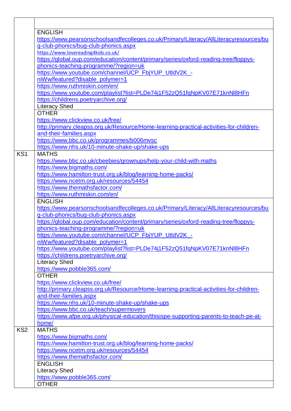|                 | <b>ENGLISH</b>                                                                          |
|-----------------|-----------------------------------------------------------------------------------------|
|                 | https://www.pearsonschoolsandfecolleges.co.uk/Primary/Literacy/AllLiteracyresources/bu  |
|                 | g-club-phonics/bug-club-phonics.aspx                                                    |
|                 | https://www.lovereading4kids.co.uk/                                                     |
|                 | https://global.oup.com/education/content/primary/series/oxford-reading-tree/floppys-    |
|                 | phonics-teaching-programme/?region=uk                                                   |
|                 | https://www.youtube.com/channel/UCP FbjYUP UtldV2K -                                    |
|                 | niWw/featured?disable_polymer=1                                                         |
|                 | https://www.ruthmiskin.com/en/                                                          |
|                 | https://www.youtube.com/playlist?list=PLDe74j1F52zQ51fqNpKV07E71knNl8HFn                |
|                 | https://childrens.poetryarchive.org/                                                    |
|                 | <b>Literacy Shed</b>                                                                    |
|                 | <b>OTHER</b>                                                                            |
|                 | https://www.clickview.co.uk/free/                                                       |
|                 | http://primary.cleapss.org.uk/Resource/Home-learning-practical-activities-for-children- |
|                 | and-their-families.aspx                                                                 |
|                 | https://www.bbc.co.uk/programmes/b006mvsc                                               |
|                 | https://www.nhs.uk/10-minute-shake-up/shake-ups                                         |
| KS <sub>1</sub> | <b>MATHS</b>                                                                            |
|                 | https://www.bbc.co.uk/cbeebies/grownups/help-your-child-with-maths                      |
|                 | https://www.bigmaths.com/                                                               |
|                 | https://www.hamilton-trust.org.uk/blog/learning-home-packs/                             |
|                 | https://www.ncetm.org.uk/resources/54454                                                |
|                 | https://www.themathsfactor.com/                                                         |
|                 | https://www.ruthmiskin.com/en/                                                          |
|                 | <b>ENGLISH</b>                                                                          |
|                 | https://www.pearsonschoolsandfecolleges.co.uk/Primary/Literacy/AllLiteracyresources/bu  |
|                 | g-club-phonics/bug-club-phonics.aspx                                                    |
|                 | https://global.oup.com/education/content/primary/series/oxford-reading-tree/floppys-    |
|                 | phonics-teaching-programme/?region=uk                                                   |
|                 | https://www.youtube.com/channel/UCP_FbjYUP_UtldV2K_-                                    |
|                 | niWw/featured?disable_polymer=1                                                         |
|                 | https://www.youtube.com/playlist?list=PLDe74j1F52zQ51fqNpKV07E71knNl8HFn                |
|                 | https://childrens.poetryarchive.org/                                                    |
|                 | <b>Literacy Shed</b>                                                                    |
|                 | https://www.pobble365.com/                                                              |
|                 | <b>OTHER</b>                                                                            |
|                 | https://www.clickview.co.uk/free/                                                       |
|                 | http://primary.cleapss.org.uk/Resource/Home-learning-practical-activities-for-children- |
|                 | and-their-families.aspx                                                                 |
|                 | https://www.nhs.uk/10-minute-shake-up/shake-ups                                         |
|                 | https://www.bbc.co.uk/teach/supermovers                                                 |
|                 | https://www.afpe.org.uk/physical-education/thisispe-supporting-parents-to-teach-pe-at-  |
|                 | home/                                                                                   |
| KS <sub>2</sub> | <b>MATHS</b>                                                                            |
|                 | https://www.bigmaths.com/                                                               |
|                 | https://www.hamilton-trust.org.uk/blog/learning-home-packs/                             |
|                 | https://www.ncetm.org.uk/resources/54454                                                |
|                 | https://www.themathsfactor.com/                                                         |
|                 | <b>ENGLISH</b>                                                                          |
|                 | <b>Literacy Shed</b>                                                                    |
|                 | https://www.pobble365.com/                                                              |
|                 | <b>OTHER</b>                                                                            |

 $\overline{1}$